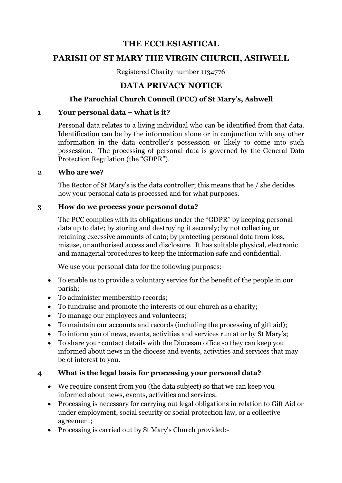# **THE ECCLESIASTICAL**

# **PARISH OF ST MARY THE VIRGIN CHURCH, ASHWELL**

Registered Charity number 1134776

# **DATA PRIVACY NOTICE**

## **The Parochial Church Council (PCC) of St Mary's, Ashwell**

#### **1 Your personal data – what is it?**

Personal data relates to a living individual who can be identified from that data. Identification can be by the information alone or in conjunction with any other information in the data controller's possession or likely to come into such possession. The processing of personal data is governed by the General Data Protection Regulation (the "GDPR").

#### **2 Who are we?**

The Rector of St Mary's is the data controller; this means that he / she decides how your personal data is processed and for what purposes.

#### **3 How do we process your personal data?**

The PCC complies with its obligations under the "GDPR" by keeping personal data up to date; by storing and destroying it securely; by not collecting or retaining excessive amounts of data; by protecting personal data from loss, misuse, unauthorised access and disclosure. It has suitable physical, electronic and managerial procedures to keep the information safe and confidential.

We use your personal data for the following purposes:-

- To enable us to provide a voluntary service for the benefit of the people in our parish;
- To administer membership records;
- To fundraise and promote the interests of our church as a charity;
- To manage our employees and volunteers;
- To maintain our accounts and records (including the processing of gift aid);
- To inform you of news, events, activities and services run at or by St Mary's;
- To share your contact details with the Diocesan office so they can keep you informed about news in the diocese and events, activities and services that may be of interest to you.

## **4 What is the legal basis for processing your personal data?**

- We require consent from you (the data subject) so that we can keep you informed about news, events, activities and services.
- Processing is necessary for carrying out legal obligations in relation to Gift Aid or under employment, social security or social protection law, or a collective agreement;
- Processing is carried out by St Mary's Church provided:-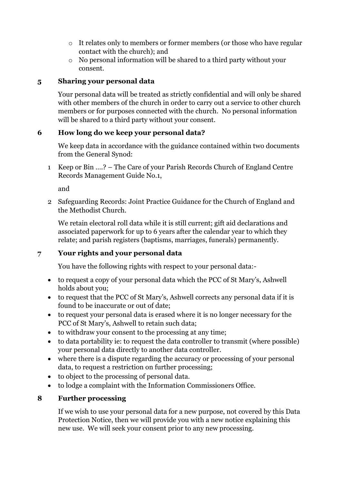- o It relates only to members or former members (or those who have regular contact with the church); and
- o No personal information will be shared to a third party without your consent.

#### **5 Sharing your personal data**

Your personal data will be treated as strictly confidential and will only be shared with other members of the church in order to carry out a service to other church members or for purposes connected with the church. No personal information will be shared to a third party without your consent.

## **6 How long do we keep your personal data?**

We keep data in accordance with the guidance contained within two documents from the General Synod:

1 Keep or Bin ….? – The Care of your Parish Records Church of England Centre Records Management Guide No.1,

and

2 Safeguarding Records: Joint Practice Guidance for the Church of England and the Methodist Church.

We retain electoral roll data while it is still current; gift aid declarations and associated paperwork for up to 6 years after the calendar year to which they relate; and parish registers (baptisms, marriages, funerals) permanently.

## **7 Your rights and your personal data**

You have the following rights with respect to your personal data:-

- to request a copy of your personal data which the PCC of St Mary's, Ashwell holds about you;
- to request that the PCC of St Mary's, Ashwell corrects any personal data if it is found to be inaccurate or out of date;
- to request your personal data is erased where it is no longer necessary for the PCC of St Mary's, Ashwell to retain such data;
- to withdraw your consent to the processing at any time;
- to data portability ie: to request the data controller to transmit (where possible) your personal data directly to another data controller.
- where there is a dispute regarding the accuracy or processing of your personal data, to request a restriction on further processing;
- to object to the processing of personal data.
- to lodge a complaint with the Information Commissioners Office.

## **8 Further processing**

If we wish to use your personal data for a new purpose, not covered by this Data Protection Notice, then we will provide you with a new notice explaining this new use. We will seek your consent prior to any new processing.